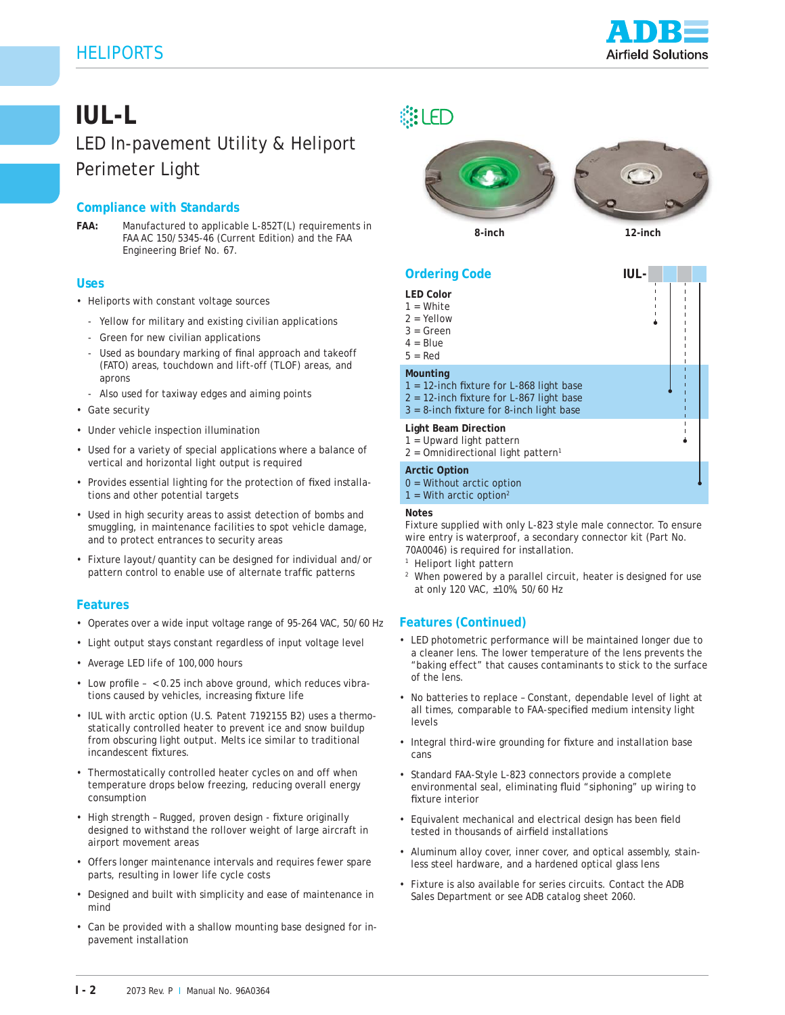

# **IUL-L** LED In-pavement Utility & Heliport Perimeter Light

#### **Compliance with Standards**

**FAA:** Manufactured to applicable L-852T(L) requirements in FAA AC 150/5345-46 (Current Edition) and the FAA Engineering Brief No. 67.

#### **Uses**

- Heliports with constant voltage sources
	- Yellow for military and existing civilian applications
	- Green for new civilian applications
	- Used as boundary marking of final approach and takeoff (FATO) areas, touchdown and lift-off (TLOF) areas, and aprons
	- Also used for taxiway edges and aiming points
- Gate security
- Under vehicle inspection illumination
- Used for a variety of special applications where a balance of vertical and horizontal light output is required
- Provides essential lighting for the protection of fixed installations and other potential targets
- Used in high security areas to assist detection of bombs and smuggling, in maintenance facilities to spot vehicle damage, and to protect entrances to security areas
- Fixture layout/quantity can be designed for individual and/or pattern control to enable use of alternate traffic patterns

#### **Features**

- Operates over a wide input voltage range of 95-264 VAC, 50/60 Hz
- Light output stays constant regardless of input voltage level
- Average LED life of 100,000 hours
- Low profile  $\langle 0.25 \rangle$  inch above ground, which reduces vibrations caused by vehicles, increasing fixture life
- IUL with arctic option (U.S. Patent 7192155 B2) uses a thermostatically controlled heater to prevent ice and snow buildup from obscuring light output. Melts ice similar to traditional incandescent fixtures.
- Thermostatically controlled heater cycles on and off when temperature drops below freezing, reducing overall energy consumption
- High strength Rugged, proven design fixture originally designed to withstand the rollover weight of large aircraft in airport movement areas
- Offers longer maintenance intervals and requires fewer spare parts, resulting in lower life cycle costs
- Designed and built with simplicity and ease of maintenance in mind
- Can be provided with a shallow mounting base designed for inpavement installation

## *SHLED*



**8-inch 12-inch**

| <b>Ordering Code</b>                                                                                                                               | IUL- |  |
|----------------------------------------------------------------------------------------------------------------------------------------------------|------|--|
| <b>LED Color</b><br>$1 = White$<br>$2 =$ Yellow<br>3 = Green<br>$4 = Blue$<br>$5 = Red$                                                            |      |  |
| Mounting<br>$1 = 12$ -inch fixture for L-868 light base<br>2 = 12-inch fixture for L-867 light base<br>$3 = 8$ -inch fixture for 8-inch light base |      |  |
| <b>Light Beam Direction</b><br>1 = Upward light pattern<br>$2$ = Omnidirectional light pattern <sup>1</sup>                                        |      |  |
| <b>Arctic Option</b><br>$0 =$ Without arctic option                                                                                                |      |  |

 $1 =$  With arctic option<sup>2</sup>

#### **Notes**

Fixture supplied with only L-823 style male connector. To ensure wire entry is waterproof, a secondary connector kit (Part No. 70A0046) is required for installation.

- 1 Heliport light pattern
- <sup>2</sup> When powered by a parallel circuit, heater is designed for use at only 120 VAC, ±10%, 50/60 Hz

#### **Features (Continued)**

- LED photometric performance will be maintained longer due to a cleaner lens. The lower temperature of the lens prevents the "baking effect" that causes contaminants to stick to the surface of the lens.
- No batteries to replace Constant, dependable level of light at all times, comparable to FAA-specified medium intensity light levels
- Integral third-wire grounding for fixture and installation base cans
- Standard FAA-Style L-823 connectors provide a complete environmental seal, eliminating fluid "siphoning" up wiring to fixture interior
- Equivalent mechanical and electrical design has been field tested in thousands of airfield installations
- Aluminum alloy cover, inner cover, and optical assembly, stainless steel hardware, and a hardened optical glass lens
- Fixture is also available for series circuits. Contact the ADB Sales Department or see ADB catalog sheet 2060.